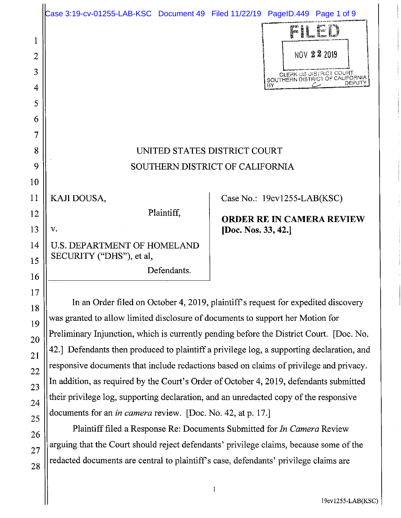|    | Case 3:19-cv-01255-LAB-KSC Document 49 Filed 11/22/19 PageID.449 Page 1 of 9              |                                  |                                                                   |
|----|-------------------------------------------------------------------------------------------|----------------------------------|-------------------------------------------------------------------|
| 1  |                                                                                           |                                  | Pille                                                             |
| 2  |                                                                                           |                                  | NOV 22 2019                                                       |
| 3  |                                                                                           |                                  | <b>CLERK US DISTRICT COUBT</b><br>SOUTHERN DISTRICT OF CALIFORNIA |
| 4  |                                                                                           |                                  | DEPUTY<br>ВY                                                      |
| 5  |                                                                                           |                                  |                                                                   |
| 6  |                                                                                           |                                  |                                                                   |
| 7  |                                                                                           |                                  |                                                                   |
| 8  | UNITED STATES DISTRICT COURT                                                              |                                  |                                                                   |
| 9  | SOUTHERN DISTRICT OF CALIFORNIA                                                           |                                  |                                                                   |
| 10 |                                                                                           |                                  |                                                                   |
| 11 | KAJI DOUSA,                                                                               |                                  | Case No.: 19cv1255-LAB(KSC)                                       |
| 12 | Plaintiff,                                                                                | <b>ORDER RE IN CAMERA REVIEW</b> |                                                                   |
| 13 | v.                                                                                        | [Doc. Nos. 33, 42.]              |                                                                   |
| 14 | <b>U.S. DEPARTMENT OF HOMELAND</b><br>SECURITY ("DHS"), et al,                            |                                  |                                                                   |
| 15 | Defendants.                                                                               |                                  |                                                                   |
| 16 |                                                                                           |                                  |                                                                   |
| 17 | In an Order filed on October 4, 2019, plaintiff's request for expedited discovery         |                                  |                                                                   |
| 18 | was granted to allow limited disclosure of documents to support her Motion for            |                                  |                                                                   |
| 19 | Preliminary Injunction, which is currently pending before the District Court. [Doc. No.   |                                  |                                                                   |
| 20 | 42.] Defendants then produced to plaintiff a privilege log, a supporting declaration, and |                                  |                                                                   |
| 21 |                                                                                           |                                  |                                                                   |

 $\log_{25}$  documents for an *in camera* review. [Doc. No. 42, at p. 17.] 26 **Plaintiff filed a Response Re: Documents Submitted for** *In Camera* **Review**  $27$  arguing that the Court should reject defendants' privilege claims, because some of the redacted documents are central to plaintiff's case, defendants' privilege claims are

 $22$  responsive documents that include redactions based on claims of privilege and privacy.

In addition, as required by the Court's Order of October 4, 2019, defendants submitted

their privilege log, supporting declaration, and an unredacted copy of the responsive

23

24

28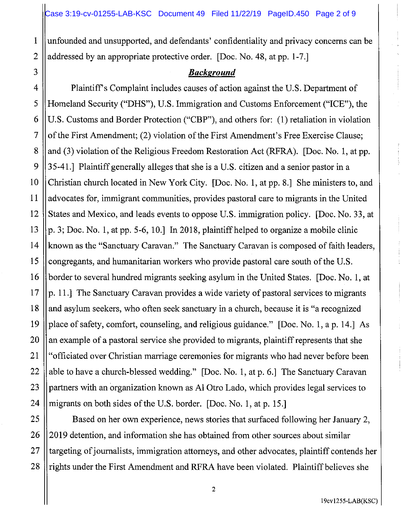1 unfounded and unsupported, and defendants' confidentiality and privacy concerns can be 2 addressed by an appropriate protective order. [Doc. No. 48, at pp. 1-7.]

### 3 *Background*

4 | Plaintiff's Complaint includes causes of action against the U.S. Department of 5 Homeland Security ("DHS"), U.S. Immigration and Customs Enforcement ("ICE"), the 6 U.S. Customs and Border Protection ("CBP"), and others for: (1) retaliation in violation 7  $\|\$  of the First Amendment; (2) violation of the First Amendment's Free Exercise Clause; 8 || and (3) violation of the Religious Freedom Restoration Act (RFRA). [Doc. No. 1, at pp. 9  $\parallel$  35-41.] Plaintiff generally alleges that she is a U.S. citizen and a senior pastor in a 10 Christian church located in New York City. [Doc. No. **1,** at pp. 8.] She ministers to, and 11 advocates for, immigrant communities, provides pastoral care to migrants in the United 12 States and Mexico, and leads events to oppose U.S. immigration policy. [Doc. No. 33, at 13  $\parallel$  p. 3; Doc. No. 1, at pp. 5-6, 10.] In 2018, plaintiff helped to organize a mobile clinic 14 | known as the "Sanctuary Caravan." The Sanctuary Caravan is composed of faith leaders, 15 congregants, and humanitarian workers who provide pastoral care south of the U.S. 16 border to several hundred migrants seeking asylum in the United States. [Doc. No. 1, at 17  $\|$ p. 11.] The Sanctuary Caravan provides a wide variety of pastoral services to migrants 18 || and asylum seekers, who often seek sanctuary in a church, because it is "a recognized 19 place of safety, comfort, counseling, and religious guidance." [Doc. No. 1, a p. 14.] As 20 an example of a pastoral service she provided to migrants, plaintiff represents that she 21 "officiated over Christian marriage ceremonies for migrants who had never before been 22  $\parallel$  able to have a church-blessed wedding." [Doc. No. 1, at p. 6.] The Sanctuary Caravan 23 || partners with an organization known as Al Otro Lado, which provides legal services to 24 || migrants on both sides of the U.S. border. [Doc. No. 1, at p. 15.]

25 | Based on her own experience, news stories that surfaced following her January 2, 26 ||2019 detention, and information she has obtained from other sources about similar 27 || targeting of journalists, immigration attorneys, and other advocates, plaintiff contends her 28 || rights under the First Amendment and RFRA have been violated. Plaintiff believes she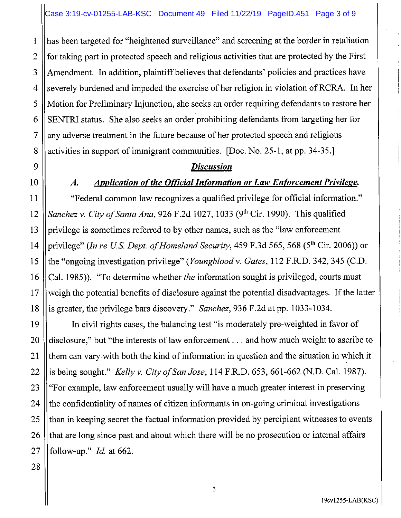1 has been targeted for "heightened surveillance" and screening at the border in retaliation 2 for taking part in protected speech and religious activities that are protected by the First 3 || Amendment. In addition, plaintiff believes that defendants' policies and practices have **4** Severely burdened and impeded the exercise of her religion in violation of RCRA. In her 5 Motion for Preliminary Injunction, she seeks an order requiring defendants to restore her  $6 \parallel$  SENTRI status. She also seeks an order prohibiting defendants from targeting her for 7 any adverse treatment in the future because of her protected speech and religious 8 activities in support of immigrant communities. [Doc. No. 25-1, at pp. 34-35.]

### *Discussion*

# *Application of the Official Information or Law Enforcement Privilege.*

11 "Federal common law recognizes a qualified privilege for official information." 12 *Sanchez v. City of Santa Ana,* 926 F.2d 1027, 1033 (9th Cir. 1990). This qualified 13 | privilege is sometimes referred to by other names, such as the "law enforcement" 14 privilege" *(In re US. Dept. of Homeland Security,* 459 F.3d 565, 568 (5th Cir. 2006)) or 15 the "ongoing investigation privilege" *(Youngblood v. Gates,* 112 F.R.D. 342,345 (C.D. 16 Cal. 1985)). "To determine whether *the* information sought is privileged, courts must 17 weigh the potential benefits of disclosure against the potential disadvantages. If the latter 18 is greater, the privilege bars discovery." *Sanchez,* 936 F.2d at pp. 1033-1034.

19 In civil rights cases, the balancing test "is moderately pre-weighted in favor of 20 disclosure," but "the interests of law enforcement ... and how much weight to ascribe to 21 them can vary with both the kind of information in question and the situation in which it 22 is being sought." *Kelly v. City a/San Jose,* 114 F.R.D. 653, 661-662 (N.D. Cal. 1987). 23 "For example, law enforcement usually will have a much greater interest in preserving 24  $\parallel$  the confidentiality of names of citizen informants in on-going criminal investigations 25 than in keeping secret the factual information provided by percipient witnesses to events 26 that are long since past and about which there will be no prosecution or internal affairs 27 follow-up." *Id.* at 662.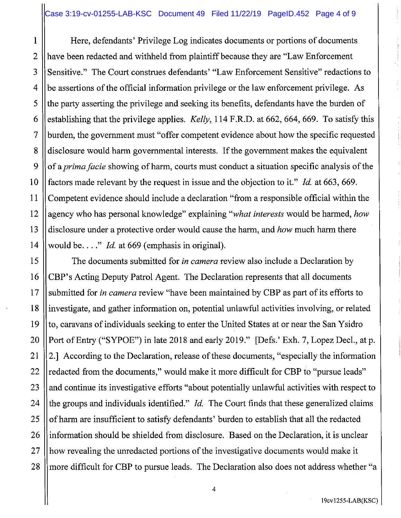1 Here, defendants' Privilege Log indicates documents or portions of documents 2 have been redacted and withheld from plaintiff because they are "Law Enforcement 3 Sensitive." The Court construes defendants' "Law Enforcement Sensitive" redactions to  $4$  || be assertions of the official information privilege or the law enforcement privilege. As  $5$  || the party asserting the privilege and seeking its benefits, defendants have the burden of 6 establishing that the privilege applies. *Kelly,* 114 F.R.D. at 662, 664, 669. To satisfy this 7 burden, the government must "offer competent evidence about how the specific requested 8 disclosure would harm governmental interests. If the government makes the equivalent 9 of a *prima facie* showing of harm, courts must conduct a situation specific analysis of the 10 factors made relevant by the request in issue and the objection to it." *Id.* at 663, 669. 11 Competent evidence should include a declaration "from a responsible official within the 12 agency who has personal knowledge" explaining *"what interests* would be harmed, *how*  13 disclosure under a protective order would cause the harm, and *how* much harm there 14 || would be...." *Id.* at 669 (emphasis in original).

15 The documents submitted for *in camera* review also include a Declaration by 16 CBP's Acting Deputy Patrol Agent. The Declaration represents that all documents 17 Submitted for *in camera* review "have been maintained by CBP as part of its efforts to 18 investigate, and gather information on, potential unlawful activities involving, or related 19  $\|$  to, caravans of individuals seeking to enter the United States at or near the San Ysidro 20 ||Port of Entry ("SYPOE") in late 2018 and early 2019." [Defs.' Exh. 7, Lopez Decl., at p. 21  $\vert\vert$  2.] According to the Declaration, release of these documents, "especially the information 22  $\parallel$  redacted from the documents," would make it more difficult for CBP to "pursue leads"  $23$  || and continue its investigative efforts "about potentially unlawful activities with respect to 24 the groups and individuals identified." *Id.* The Court finds that these generalized claims 25  $\parallel$  of harm are insufficient to satisfy defendants' burden to establish that all the redacted 26 linformation should be shielded from disclosure. Based on the Declaration, it is unclear 27 || how revealing the unredacted portions of the investigative documents would make it 28 || more difficult for CBP to pursue leads. The Declaration also does not address whether "a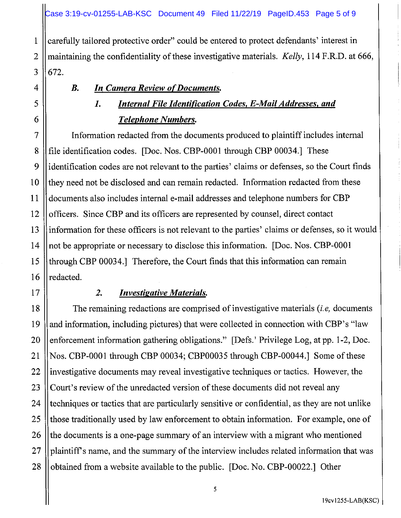1 carefully tailored protective order" could be entered to protect defendants' interest in 2 maintaining the confidentiality of these investigative materials. *Kelly,* 114 F.R.D. at 666,  $3 \parallel 672.$ 

## **B.** In Camera Review of Documents.

# *I. Internal File Identification Codes, E-Mail Addresses, and Telephone Numbers.*

7 Information redacted from the documents produced to plaintiff includes internal 8 file identification codes. [Doc. Nos. CBP-0001 through CBP 00034.] These 9 identification codes are not relevant to the parties' claims or defenses, so the Court finds 10 || they need not be disclosed and can remain redacted. Information redacted from these 11 documents also includes internal e-mail addresses and telephone numbers for CBP 12 | officers. Since CBP and its officers are represented by counsel, direct contact 13 information for these officers is not relevant to the parties' claims or defenses, so it would 14 || not be appropriate or necessary to disclose this information. [Doc. Nos. CBP-0001] 15 through CBP 00034.] Therefore, the Court finds that this information can remain  $16$  || redacted.

# 17 *2. Investigative Materials.*

18 The remaining redactions are comprised of investigative materials *(i.e,* documents 19  $\parallel$  and information, including pictures) that were collected in connection with CBP's "law 20 || enforcement information gathering obligations." [Defs.' Privilege Log, at pp. 1-2, Doc. 21 Nos. CBP-0001 through CBP 00034; CBP00035 through CBP-00044.] Some of these 22 | investigative documents may reveal investigative techniques or tactics. However, the 23 Court's review of the unredacted version of these documents did not reveal any 24 techniques or tactics that are particularly sensitive or confidential, as they are not unlike 25 || those traditionally used by law enforcement to obtain information. For example, one of 26 the documents is a one-page summary of an interview with a migrant who mentioned 27 || plaintiff's name, and the summary of the interview includes related information that was 28  $\parallel$  obtained from a website available to the public. [Doc. No. CBP-00022.] Other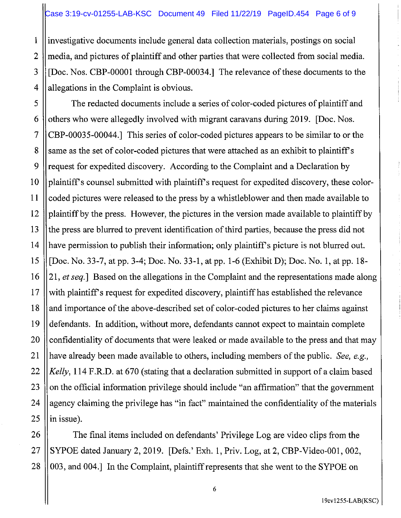1 investigative documents include general data collection materials, postings on social 2 media, and pictures of plaintiff and other parties that were collected from social media. 3 [Doc. Nos. CBP-00001 through CBP-00034.] The relevance of these documents to the  $4$  || allegations in the Complaint is obvious.

5 The redacted documents include a series of color-coded pictures of plaintiff and 6 | others who were allegedly involved with migrant caravans during 2019. [Doc. Nos.] 7 CBP-00035-00044.] This series of color-coded pictures appears to be similar to or the 8 S same as the set of color-coded pictures that were attached as an exhibit to plaintiff's 9 || request for expedited discovery. According to the Complaint and a Declaration by 10 || plaintiff's counsel submitted with plaintiff's request for expedited discovery, these color-11 coded pictures were released to the press by a whistleblower and then made available to 12 plaintiff by the press. However, the pictures in the version made available to plaintiff by 13 the press are blurred to prevent identification of third parties, because the press did not 14 || have permission to publish their information; only plaintiff's picture is not blurred out. 15 [Doc. No. 33-7, at pp. 3-4; Doc. No. 33-1, at pp. 1-6 (Exhibit D); Doc. No. 1, at pp. 18- 16 21, *et seq.]* Based on the allegations in the Complaint and the representations made along  $17$  with plaintiff's request for expedited discovery, plaintiff has established the relevance 18 and importance of the above-described set of color-coded pictures to her claims against 19 defendants. In addition, without more, defendants cannot expect to maintain complete 20 | confidentiality of documents that were leaked or made available to the press and that may 21 have already been made available to others, including members of the public. *See, e.g.,*  22 *Kelly,* 114 F.R.D. at 670 (stating that a declaration submitted in support of a claim based 23  $\parallel$  on the official information privilege should include "an affirmation" that the government 24  $\parallel$  agency claiming the privilege has "in fact" maintained the confidentiality of the materials  $25$  || in issue).

26 **The final items included on defendants' Privilege Log are video clips from the** 27  $\parallel$  SYPOE dated January 2, 2019. [Defs.' Exh. 1, Priv. Log, at 2, CBP-Video-001, 002, 28  $\parallel$  003, and 004.] In the Complaint, plaintiff represents that she went to the SYPOE on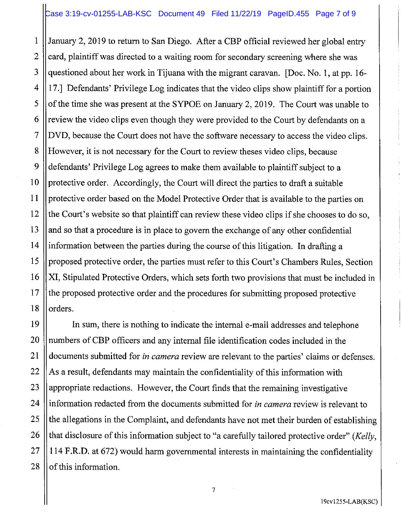1 January 2, 2019 to return to San Diego. After a CBP official reviewed her global entry  $2$   $\|$  card, plaintiff was directed to a waiting room for secondary screening where she was 3 || questioned about her work in Tijuana with the migrant caravan. [Doc. No. 1, at pp. 16-4 17.] Defendants' Privilege Log indicates that the video clips show plaintiff for a portion 5  $\vert\vert$  of the time she was present at the SYPOE on January 2, 2019. The Court was unable to  $6 \parallel$  review the video clips even though they were provided to the Court by defendants on a 7 |DVD, because the Court does not have the software necessary to access the video clips. 8 | However, it is not necessary for the Court to review theses video clips, because 9 defendants' Privilege Log agrees to make them available to plaintiff subject to a 10 || protective order. Accordingly, the Court will direct the parties to draft a suitable 11 protective order based on the Model Protective Order that is available to the parties on 12  $\parallel$  the Court's website so that plaintiff can review these video clips if she chooses to do so,  $13$  || and so that a procedure is in place to govern the exchange of any other confidential 14 || information between the parties during the course of this litigation. In drafting a 15 | proposed protective order, the parties must refer to this Court's Chambers Rules, Section 16 || XI, Stipulated Protective Orders, which sets forth two provisions that must be included in 17 the proposed protective order and the procedures for submitting proposed protective  $18$  || orders.

19 In sum, there is nothing to indicate the internal e-mail addresses and telephone 20 || numbers of CBP officers and any internal file identification codes included in the 21 documents submitted for *in camera* review are relevant to the parties' claims or defenses.  $22$  || As a result, defendants may maintain the confidentiality of this information with 23  $\parallel$  appropriate redactions. However, the Court finds that the remaining investigative 24 information redacted from the documents submitted for *in camera* review is relevant to  $25$  || the allegations in the Complaint, and defendants have not met their burden of establishing 26 that disclosure of this information subject to "a carefully tailored protective order" *(Kelly,*   $27$  || 114 F.R.D. at 672) would harm governmental interests in maintaining the confidentiality  $28$  || of this information.

7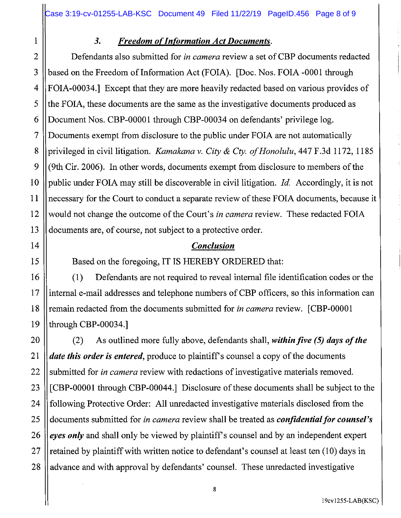## 1 *3. Freedom of Information Act Documents.*

2 Defendants also submitted for *in camera* review a set of CBP documents redacted 3 based on the Freedom of Information Act (FOIA). [Doc. Nos. FOIA -0001 through 4 FOIA-00034.] Except that they are more heavily redacted based on various provides of  $5$  ||the FOIA, these documents are the same as the investigative documents produced as 6 Document Nos. CBP-00001 through CBP-00034 on defendants' privilege log. 7 Documents exempt from disclosure to the public under FOIA are not automatically 8 privileged in civil litigation. *Kamakana v. City & Cty. of Honolulu*, 447 F.3d 1172, 1185 9  $\left| \right|$  (9th Cir. 2006). In other words, documents exempt from disclosure to members of the 10 public under FOIA may still be discoverable in civil litigation. *Id.* Accordingly, it is not 11 necessary for the Court to conduct a separate review of these FOIA documents, because it 12 would not change the outcome of the Court's *in camera* review. These redacted FOIA 13 documents are, of course, not subject to a protective order.

### 14 *Conclusion*

15 | Based on the foregoing, IT IS HEREBY ORDERED that:

16 (1) Defendants are not required to reveal internal file identification codes or the 17 ||internal e-mail addresses and telephone numbers of CBP officers, so this information can 18 remain redacted from the documents submitted for *in camera* review. [CBP-00001 19 || through CBP-00034.]

20 (2) As outlined more fully above, defendants shall, *within five (5) days of the*  21 *date this order is entered,* produce to plaintiffs counsel a copy of the documents 22 Submitted for *in camera* review with redactions of investigative materials removed. 23 [CBP-00001 through CBP-00044.] Disclosure of these documents shall be subject to the 24 | following Protective Order: All unredacted investigative materials disclosed from the 25 documents submitted for *in camera* review shall be treated as *confidential for counsel's* 26 *eyes only* and shall only be viewed by plaintiff's counsel and by an independent expert 27 || retained by plaintiff with written notice to defendant's counsel at least ten  $(10)$  days in 28 || advance and with approval by defendants' counsel. These unredacted investigative